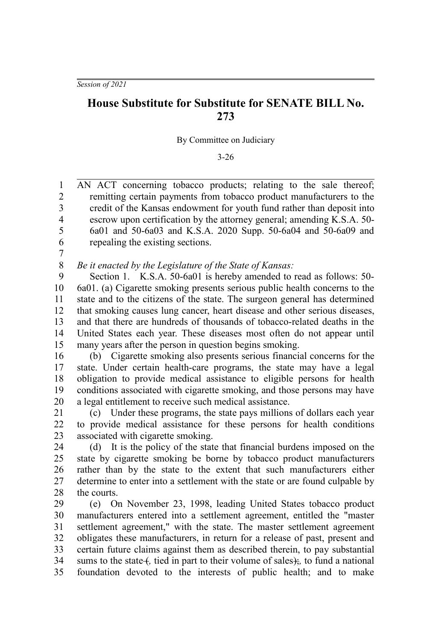*Session of 2021*

## **House Substitute for Substitute for SENATE BILL No. 273**

By Committee on Judiciary

3-26

AN ACT concerning tobacco products; relating to the sale thereof; remitting certain payments from tobacco product manufacturers to the credit of the Kansas endowment for youth fund rather than deposit into escrow upon certification by the attorney general; amending K.S.A. 50- 6a01 and 50-6a03 and K.S.A. 2020 Supp. 50-6a04 and 50-6a09 and repealing the existing sections. 1  $\mathfrak{D}$ 3 4 5 6

7

*Be it enacted by the Legislature of the State of Kansas:* 8

Section 1. K.S.A. 50-6a01 is hereby amended to read as follows: 50- 6a01. (a) Cigarette smoking presents serious public health concerns to the state and to the citizens of the state. The surgeon general has determined that smoking causes lung cancer, heart disease and other serious diseases, and that there are hundreds of thousands of tobacco-related deaths in the United States each year. These diseases most often do not appear until many years after the person in question begins smoking. 9 10 11 12 13 14 15

(b) Cigarette smoking also presents serious financial concerns for the state. Under certain health-care programs, the state may have a legal obligation to provide medical assistance to eligible persons for health conditions associated with cigarette smoking, and those persons may have a legal entitlement to receive such medical assistance. 16 17 18 19 20

(c) Under these programs, the state pays millions of dollars each year to provide medical assistance for these persons for health conditions associated with cigarette smoking. 21 22 23

(d) It is the policy of the state that financial burdens imposed on the state by cigarette smoking be borne by tobacco product manufacturers rather than by the state to the extent that such manufacturers either determine to enter into a settlement with the state or are found culpable by the courts. 24 25 26 27 28

(e) On November 23, 1998, leading United States tobacco product manufacturers entered into a settlement agreement, entitled the "master settlement agreement," with the state. The master settlement agreement obligates these manufacturers, in return for a release of past, present and certain future claims against them as described therein, to pay substantial sums to the state f, tied in part to their volume of sales); to fund a national foundation devoted to the interests of public health; and to make 29 30 31 32 33 34 35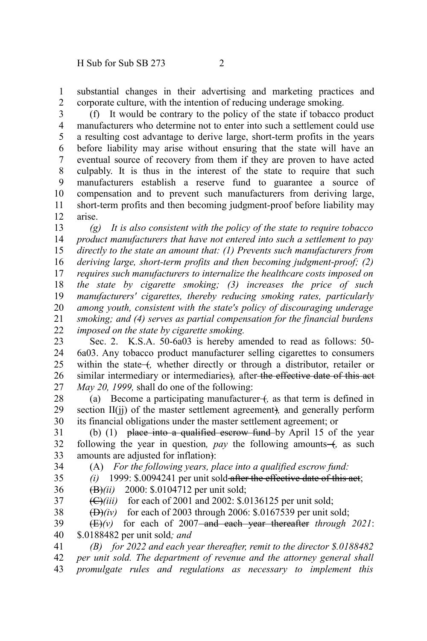substantial changes in their advertising and marketing practices and corporate culture, with the intention of reducing underage smoking. 1 2

(f) It would be contrary to the policy of the state if tobacco product manufacturers who determine not to enter into such a settlement could use a resulting cost advantage to derive large, short-term profits in the years before liability may arise without ensuring that the state will have an eventual source of recovery from them if they are proven to have acted culpably. It is thus in the interest of the state to require that such manufacturers establish a reserve fund to guarantee a source of compensation and to prevent such manufacturers from deriving large, short-term profits and then becoming judgment-proof before liability may arise. 3 4 5 6 7 8 9 10 11 12

*(g) It is also consistent with the policy of the state to require tobacco product manufacturers that have not entered into such a settlement to pay directly to the state an amount that: (1) Prevents such manufacturers from deriving large, short-term profits and then becoming judgment-proof; (2) requires such manufacturers to internalize the healthcare costs imposed on the state by cigarette smoking; (3) increases the price of such manufacturers' cigarettes, thereby reducing smoking rates, particularly among youth, consistent with the state's policy of discouraging underage smoking; and (4) serves as partial compensation for the financial burdens imposed on the state by cigarette smoking.* 13 14 15 16 17 18 19 20 21 22

Sec. 2. K.S.A. 50-6a03 is hereby amended to read as follows: 50- 6a03. Any tobacco product manufacturer selling cigarettes to consumers within the state (*f*, whether directly or through a distributor, retailer or similar intermediary or intermediaries)*,* after the effective date of this act *May 20, 1999,* shall do one of the following: 23 24 25 26 27

(a) Become a participating manufacturer  $+$ , as that term is defined in section II(ji) of the master settlement agreement), and generally perform its financial obligations under the master settlement agreement; or 28 29 30

(b)  $(1)$  place into a qualified escrow fund by April 15 of the year following the year in question,  $pay$  the following amounts  $-$ , as such amounts are adjusted for inflation): 31 32 33

34

(A) *For the following years, place into a qualified escrow fund: (i)* 1999: \$.0094241 per unit sold after the effective date of this act;

35 36

(B)*(ii)* 2000: \$.0104712 per unit sold;

37

(C)*(iii)* for each of 2001 and 2002: \$.0136125 per unit sold;

 $(\Delta)(iv)$  for each of 2003 through 2006: \$.0167539 per unit sold; 38

 $(E)(v)$  for each of 2007-and each year thereafter *through 2021*: \$.0188482 per unit sold*; and* 39 40

*(B) for 2022 and each year thereafter, remit to the director \$.0188482 per unit sold. The department of revenue and the attorney general shall promulgate rules and regulations as necessary to implement this* 41 42 43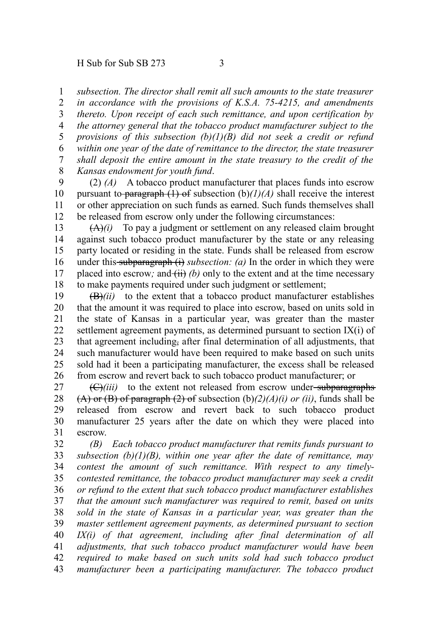*subsection. The director shall remit all such amounts to the state treasurer* 1

*in accordance with the provisions of K.S.A. 75-4215, and amendments thereto. Upon receipt of each such remittance, and upon certification by the attorney general that the tobacco product manufacturer subject to the provisions of this subsection (b)(1)(B) did not seek a credit or refund within one year of the date of remittance to the director, the state treasurer shall deposit the entire amount in the state treasury to the credit of the Kansas endowment for youth fund*. 2 3 4 5 6 7 8

(2) *(A)* A tobacco product manufacturer that places funds into escrow pursuant to paragraph  $(1)$  of subsection  $(b)/I/A$  shall receive the interest or other appreciation on such funds as earned. Such funds themselves shall be released from escrow only under the following circumstances: 9 10 11 12

(A)*(i)* To pay a judgment or settlement on any released claim brought against such tobacco product manufacturer by the state or any releasing party located or residing in the state. Funds shall be released from escrow under this subparagraph  $(i)$  *subsection: (a)* In the order in which they were placed into escrow; and  $(ii)$  *(b)* only to the extent and at the time necessary to make payments required under such judgment or settlement; 13 14 15 16 17 18

 $(\overrightarrow{B})$ *(ii)* to the extent that a tobacco product manufacturer establishes that the amount it was required to place into escrow, based on units sold in the state of Kansas in a particular year, was greater than the master settlement agreement payments, as determined pursuant to section IX(i) of that agreement including, after final determination of all adjustments, that such manufacturer would have been required to make based on such units sold had it been a participating manufacturer, the excess shall be released from escrow and revert back to such tobacco product manufacturer; or 19 20 21 22 23 24 25 26

 $\left(\frac{C}{i}\right)$  to the extent not released from escrow under-subparagraphs (A) or (B) of paragraph (2) of subsection (b)*(2)(A)(i) or (ii)*, funds shall be released from escrow and revert back to such tobacco product manufacturer 25 years after the date on which they were placed into escrow. 27 28 29 30 31

*(B) Each tobacco product manufacturer that remits funds pursuant to subsection (b)(1)(B), within one year after the date of remittance, may contest the amount of such remittance. With respect to any timelycontested remittance, the tobacco product manufacturer may seek a credit or refund to the extent that such tobacco product manufacturer establishes that the amount such manufacturer was required to remit, based on units sold in the state of Kansas in a particular year, was greater than the master settlement agreement payments, as determined pursuant to section IX(i) of that agreement, including after final determination of all adjustments, that such tobacco product manufacturer would have been required to make based on such units sold had such tobacco product manufacturer been a participating manufacturer. The tobacco product* 32 33 34 35 36 37 38 39 40 41 42 43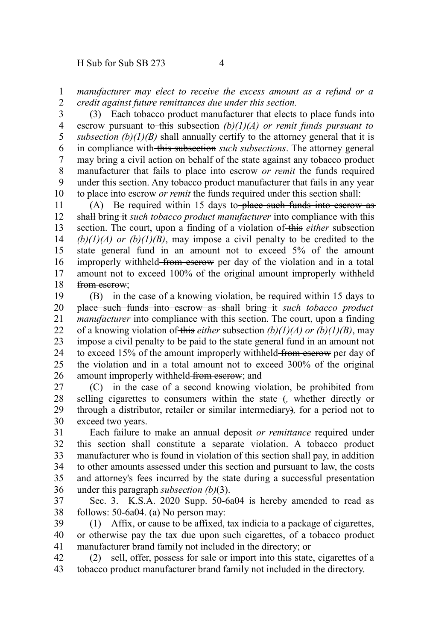*manufacturer may elect to receive the excess amount as a refund or a credit against future remittances due under this section.* 1 2

(3) Each tobacco product manufacturer that elects to place funds into escrow pursuant to this subsection  $(b)(1)(A)$  or remit funds pursuant to *subsection*  $(b)(1)(B)$  shall annually certify to the attorney general that it is in compliance with this subsection *such subsections*. The attorney general may bring a civil action on behalf of the state against any tobacco product manufacturer that fails to place into escrow *or remit* the funds required under this section. Any tobacco product manufacturer that fails in any year to place into escrow *or remit* the funds required under this section shall: 3 4 5 6 7 8 9 10

(A) Be required within 15 days to place such funds into escrow as shall bring it *such tobacco product manufacturer* into compliance with this section. The court, upon a finding of a violation of this *either* subsection  $(b)(1)(A)$  or  $(b)(1)(B)$ , may impose a civil penalty to be credited to the state general fund in an amount not to exceed 5% of the amount improperly withheld-from escrow per day of the violation and in a total amount not to exceed 100% of the original amount improperly withheld from eserow: 11 12 13 14 15 16 17 18

(B) in the case of a knowing violation, be required within 15 days to place such funds into escrow as shall bring it *such tobacco product manufacturer* into compliance with this section. The court, upon a finding of a knowing violation of this *either* subsection *(b)(1)(A) or (b)(1)(B)*, may impose a civil penalty to be paid to the state general fund in an amount not to exceed 15% of the amount improperly withheld from eserow per day of the violation and in a total amount not to exceed 300% of the original amount improperly withheld from escrow; and 19 20 21 22 23 24 25 26

(C) in the case of a second knowing violation, be prohibited from selling cigarettes to consumers within the state  $+$ , whether directly or through a distributor, retailer or similar intermediary)*,* for a period not to exceed two years. 27 28 29 30

Each failure to make an annual deposit *or remittance* required under this section shall constitute a separate violation. A tobacco product manufacturer who is found in violation of this section shall pay, in addition to other amounts assessed under this section and pursuant to law, the costs and attorney's fees incurred by the state during a successful presentation under this paragraph *subsection (b)*(3). 31 32 33 34 35 36

Sec. 3. K.S.A. 2020 Supp. 50-6a04 is hereby amended to read as follows: 50-6a04. (a) No person may: 37 38

(1) Affix, or cause to be affixed, tax indicia to a package of cigarettes, or otherwise pay the tax due upon such cigarettes, of a tobacco product manufacturer brand family not included in the directory; or 39 40 41

(2) sell, offer, possess for sale or import into this state, cigarettes of a tobacco product manufacturer brand family not included in the directory. 42 43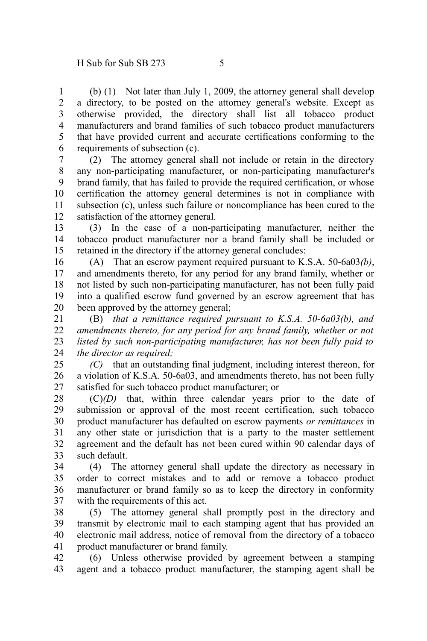(b) (1) Not later than July 1, 2009, the attorney general shall develop a directory, to be posted on the attorney general's website. Except as otherwise provided, the directory shall list all tobacco product manufacturers and brand families of such tobacco product manufacturers that have provided current and accurate certifications conforming to the requirements of subsection (c). 1 2 3 4 5 6

(2) The attorney general shall not include or retain in the directory any non-participating manufacturer, or non-participating manufacturer's brand family, that has failed to provide the required certification, or whose certification the attorney general determines is not in compliance with subsection (c), unless such failure or noncompliance has been cured to the satisfaction of the attorney general. 7 8 9 10 11 12

(3) In the case of a non-participating manufacturer, neither the tobacco product manufacturer nor a brand family shall be included or retained in the directory if the attorney general concludes: 13 14 15

(A) That an escrow payment required pursuant to K.S.A. 50-6a03*(b)*, and amendments thereto, for any period for any brand family, whether or not listed by such non-participating manufacturer, has not been fully paid into a qualified escrow fund governed by an escrow agreement that has been approved by the attorney general; 16 17 18 19 20

(B) *that a remittance required pursuant to K.S.A. 50-6a03(b), and amendments thereto, for any period for any brand family, whether or not listed by such non-participating manufacturer, has not been fully paid to the director as required;* 21 22 23 24

*(C)* that an outstanding final judgment, including interest thereon, for a violation of K.S.A. 50-6a03, and amendments thereto, has not been fully satisfied for such tobacco product manufacturer; or 25 26 27

(C)*(D)* that, within three calendar years prior to the date of submission or approval of the most recent certification, such tobacco product manufacturer has defaulted on escrow payments *or remittances* in any other state or jurisdiction that is a party to the master settlement agreement and the default has not been cured within 90 calendar days of such default. 28 29 30 31 32 33

(4) The attorney general shall update the directory as necessary in order to correct mistakes and to add or remove a tobacco product manufacturer or brand family so as to keep the directory in conformity with the requirements of this act. 34 35 36 37

(5) The attorney general shall promptly post in the directory and transmit by electronic mail to each stamping agent that has provided an electronic mail address, notice of removal from the directory of a tobacco product manufacturer or brand family. 38 39 40 41

(6) Unless otherwise provided by agreement between a stamping agent and a tobacco product manufacturer, the stamping agent shall be 42 43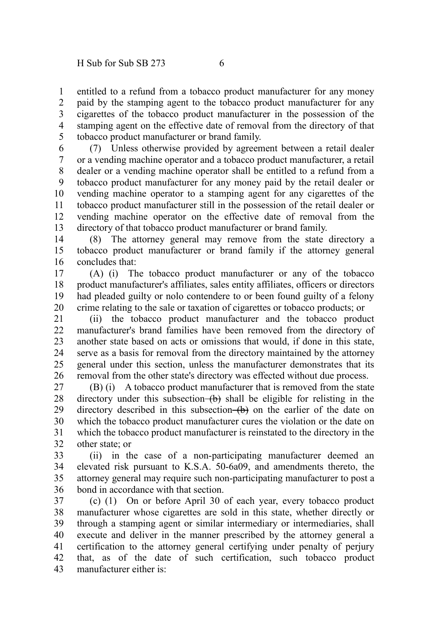entitled to a refund from a tobacco product manufacturer for any money paid by the stamping agent to the tobacco product manufacturer for any cigarettes of the tobacco product manufacturer in the possession of the stamping agent on the effective date of removal from the directory of that tobacco product manufacturer or brand family. 1 2 3 4 5

(7) Unless otherwise provided by agreement between a retail dealer or a vending machine operator and a tobacco product manufacturer, a retail dealer or a vending machine operator shall be entitled to a refund from a tobacco product manufacturer for any money paid by the retail dealer or vending machine operator to a stamping agent for any cigarettes of the tobacco product manufacturer still in the possession of the retail dealer or vending machine operator on the effective date of removal from the directory of that tobacco product manufacturer or brand family. 6 7 8 9 10 11 12 13

(8) The attorney general may remove from the state directory a tobacco product manufacturer or brand family if the attorney general concludes that: 14 15 16

(A) (i) The tobacco product manufacturer or any of the tobacco product manufacturer's affiliates, sales entity affiliates, officers or directors had pleaded guilty or nolo contendere to or been found guilty of a felony crime relating to the sale or taxation of cigarettes or tobacco products; or 17 18 19 20

(ii) the tobacco product manufacturer and the tobacco product manufacturer's brand families have been removed from the directory of another state based on acts or omissions that would, if done in this state, serve as a basis for removal from the directory maintained by the attorney general under this section, unless the manufacturer demonstrates that its removal from the other state's directory was effected without due process. 21 22 23 24 25 26

(B) (i) A tobacco product manufacturer that is removed from the state directory under this subsection  $(b)$  shall be eligible for relisting in the directory described in this subsection  $(b)$  on the earlier of the date on which the tobacco product manufacturer cures the violation or the date on which the tobacco product manufacturer is reinstated to the directory in the other state; or 27 28 29 30 31 32

(ii) in the case of a non-participating manufacturer deemed an elevated risk pursuant to K.S.A. 50-6a09, and amendments thereto, the attorney general may require such non-participating manufacturer to post a bond in accordance with that section. 33 34 35 36

(c) (1) On or before April 30 of each year, every tobacco product manufacturer whose cigarettes are sold in this state, whether directly or through a stamping agent or similar intermediary or intermediaries, shall execute and deliver in the manner prescribed by the attorney general a certification to the attorney general certifying under penalty of perjury that, as of the date of such certification, such tobacco product manufacturer either is: 37 38 39 40 41 42 43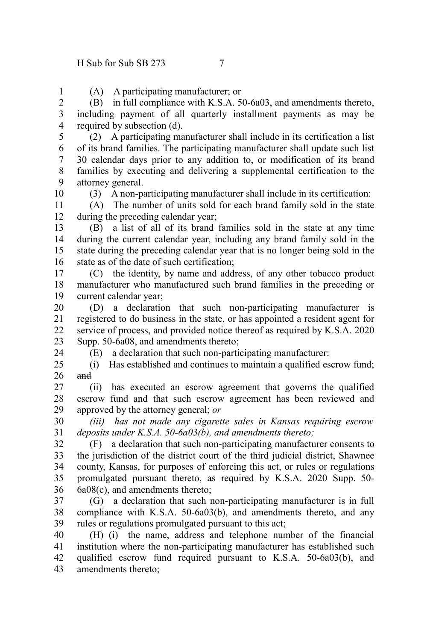(A) A participating manufacturer; or

(B) in full compliance with K.S.A. 50-6a03, and amendments thereto, including payment of all quarterly installment payments as may be required by subsection (d). 2 3 4

(2) A participating manufacturer shall include in its certification a list of its brand families. The participating manufacturer shall update such list 30 calendar days prior to any addition to, or modification of its brand families by executing and delivering a supplemental certification to the attorney general. 5 6 7 8 9

(3) A non-participating manufacturer shall include in its certification:

(A) The number of units sold for each brand family sold in the state during the preceding calendar year; 11 12

(B) a list of all of its brand families sold in the state at any time during the current calendar year, including any brand family sold in the state during the preceding calendar year that is no longer being sold in the state as of the date of such certification; 13 14 15 16

(C) the identity, by name and address, of any other tobacco product manufacturer who manufactured such brand families in the preceding or current calendar year; 17 18 19

(D) a declaration that such non-participating manufacturer is registered to do business in the state, or has appointed a resident agent for service of process, and provided notice thereof as required by K.S.A. 2020 Supp. 50-6a08, and amendments thereto; 20 21 22 23

24

1

10

(E) a declaration that such non-participating manufacturer:

(i) Has established and continues to maintain a qualified escrow fund; and  $25$ 26

(ii) has executed an escrow agreement that governs the qualified escrow fund and that such escrow agreement has been reviewed and approved by the attorney general; *or* 27 28 29

*(iii) has not made any cigarette sales in Kansas requiring escrow deposits under K.S.A. 50-6a03(b), and amendments thereto;* 30 31

(F) a declaration that such non-participating manufacturer consents to the jurisdiction of the district court of the third judicial district, Shawnee county, Kansas, for purposes of enforcing this act, or rules or regulations promulgated pursuant thereto, as required by K.S.A. 2020 Supp. 50- 6a08(c), and amendments thereto; 32 33 34 35 36

(G) a declaration that such non-participating manufacturer is in full compliance with K.S.A. 50-6a03(b), and amendments thereto, and any rules or regulations promulgated pursuant to this act; 37 38 39

(H) (i) the name, address and telephone number of the financial institution where the non-participating manufacturer has established such qualified escrow fund required pursuant to K.S.A. 50-6a03(b), and amendments thereto; 40 41 42 43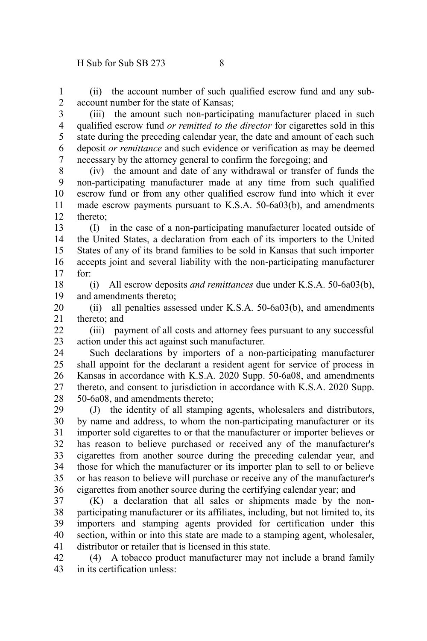(ii) the account number of such qualified escrow fund and any subaccount number for the state of Kansas; 1 2

(iii) the amount such non-participating manufacturer placed in such qualified escrow fund *or remitted to the director* for cigarettes sold in this state during the preceding calendar year, the date and amount of each such deposit *or remittance* and such evidence or verification as may be deemed necessary by the attorney general to confirm the foregoing; and 3 4 5 6 7

(iv) the amount and date of any withdrawal or transfer of funds the non-participating manufacturer made at any time from such qualified escrow fund or from any other qualified escrow fund into which it ever made escrow payments pursuant to K.S.A. 50-6a03(b), and amendments thereto; 8 9 10 11 12

(I) in the case of a non-participating manufacturer located outside of the United States, a declaration from each of its importers to the United States of any of its brand families to be sold in Kansas that such importer accepts joint and several liability with the non-participating manufacturer for: 13 14 15 16 17

(i) All escrow deposits *and remittances* due under K.S.A. 50-6a03(b), and amendments thereto; 18 19

(ii) all penalties assessed under K.S.A. 50-6a03(b), and amendments thereto; and 20 21

(iii) payment of all costs and attorney fees pursuant to any successful action under this act against such manufacturer. 22 23

Such declarations by importers of a non-participating manufacturer shall appoint for the declarant a resident agent for service of process in Kansas in accordance with K.S.A. 2020 Supp. 50-6a08, and amendments thereto, and consent to jurisdiction in accordance with K.S.A. 2020 Supp. 50-6a08, and amendments thereto; 24 25 26 27 28

(J) the identity of all stamping agents, wholesalers and distributors, by name and address, to whom the non-participating manufacturer or its importer sold cigarettes to or that the manufacturer or importer believes or has reason to believe purchased or received any of the manufacturer's cigarettes from another source during the preceding calendar year, and those for which the manufacturer or its importer plan to sell to or believe or has reason to believe will purchase or receive any of the manufacturer's cigarettes from another source during the certifying calendar year; and 29 30 31 32 33 34 35 36

(K) a declaration that all sales or shipments made by the nonparticipating manufacturer or its affiliates, including, but not limited to, its importers and stamping agents provided for certification under this section, within or into this state are made to a stamping agent, wholesaler, distributor or retailer that is licensed in this state. 37 38 39 40 41

(4) A tobacco product manufacturer may not include a brand family in its certification unless: 42 43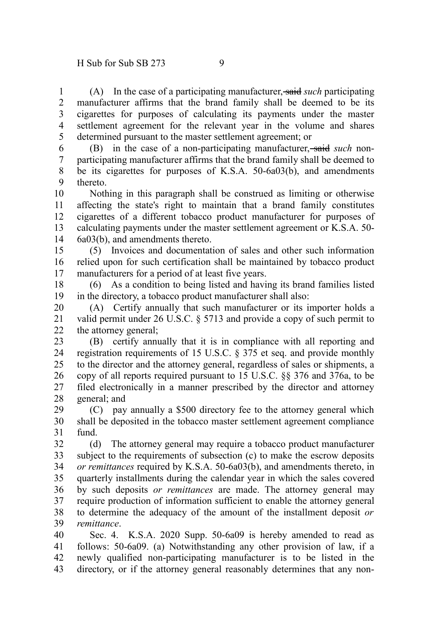(A) In the case of a participating manufacturer, said *such* participating manufacturer affirms that the brand family shall be deemed to be its cigarettes for purposes of calculating its payments under the master settlement agreement for the relevant year in the volume and shares determined pursuant to the master settlement agreement; or 1 2 3 4 5

(B) in the case of a non-participating manufacturer, said *such* nonparticipating manufacturer affirms that the brand family shall be deemed to be its cigarettes for purposes of K.S.A. 50-6a03(b), and amendments thereto. 6 7 8 9

Nothing in this paragraph shall be construed as limiting or otherwise affecting the state's right to maintain that a brand family constitutes cigarettes of a different tobacco product manufacturer for purposes of calculating payments under the master settlement agreement or K.S.A. 50- 6a03(b), and amendments thereto. 10 11 12 13 14

(5) Invoices and documentation of sales and other such information relied upon for such certification shall be maintained by tobacco product manufacturers for a period of at least five years. 15 16 17

(6) As a condition to being listed and having its brand families listed in the directory, a tobacco product manufacturer shall also: 18 19

(A) Certify annually that such manufacturer or its importer holds a valid permit under 26 U.S.C. § 5713 and provide a copy of such permit to the attorney general; 20 21 22

(B) certify annually that it is in compliance with all reporting and registration requirements of 15 U.S.C. § 375 et seq. and provide monthly to the director and the attorney general, regardless of sales or shipments, a copy of all reports required pursuant to 15 U.S.C. §§ 376 and 376a, to be filed electronically in a manner prescribed by the director and attorney general; and 23 24 25 26 27 28

(C) pay annually a \$500 directory fee to the attorney general which shall be deposited in the tobacco master settlement agreement compliance fund. 29 30 31

(d) The attorney general may require a tobacco product manufacturer subject to the requirements of subsection (c) to make the escrow deposits *or remittances* required by K.S.A. 50-6a03(b), and amendments thereto, in quarterly installments during the calendar year in which the sales covered by such deposits *or remittances* are made. The attorney general may require production of information sufficient to enable the attorney general to determine the adequacy of the amount of the installment deposit *or remittance*. 32 33 34 35 36 37 38 39

Sec. 4. K.S.A. 2020 Supp. 50-6a09 is hereby amended to read as follows: 50-6a09. (a) Notwithstanding any other provision of law, if a newly qualified non-participating manufacturer is to be listed in the directory, or if the attorney general reasonably determines that any non-40 41 42 43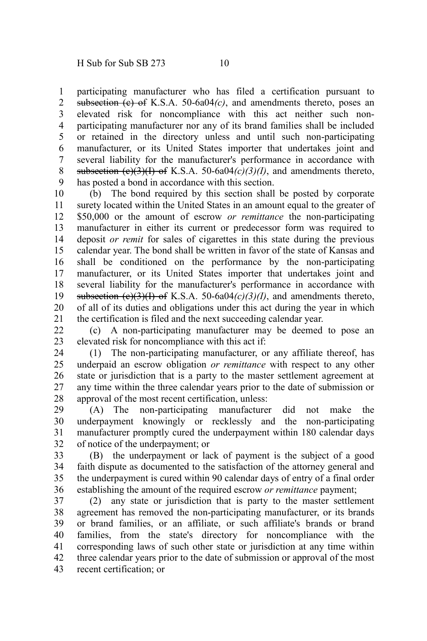participating manufacturer who has filed a certification pursuant to subsection  $(e)$  of K.S.A. 50-6a04 $(c)$ , and amendments thereto, poses an elevated risk for noncompliance with this act neither such nonparticipating manufacturer nor any of its brand families shall be included or retained in the directory unless and until such non-participating manufacturer, or its United States importer that undertakes joint and several liability for the manufacturer's performance in accordance with subsection  $(e)(3)(1)$  of K.S.A. 50-6a04 $(e)(3)(1)$ , and amendments thereto, has posted a bond in accordance with this section. 1 2 3 4 5 6 7 8 9

(b) The bond required by this section shall be posted by corporate surety located within the United States in an amount equal to the greater of \$50,000 or the amount of escrow *or remittance* the non-participating manufacturer in either its current or predecessor form was required to deposit *or remit* for sales of cigarettes in this state during the previous calendar year. The bond shall be written in favor of the state of Kansas and shall be conditioned on the performance by the non-participating manufacturer, or its United States importer that undertakes joint and several liability for the manufacturer's performance in accordance with subsection  $(e)(3)(1)$  of K.S.A. 50-6a04 $(c)(3)(1)$ , and amendments thereto, of all of its duties and obligations under this act during the year in which the certification is filed and the next succeeding calendar year. 10 11 12 13 14 15 16 17 18 19 20 21

(c) A non-participating manufacturer may be deemed to pose an elevated risk for noncompliance with this act if: 22 23

(1) The non-participating manufacturer, or any affiliate thereof, has underpaid an escrow obligation *or remittance* with respect to any other state or jurisdiction that is a party to the master settlement agreement at any time within the three calendar years prior to the date of submission or approval of the most recent certification, unless: 24 25 26 27 28

(A) The non-participating manufacturer did not make the underpayment knowingly or recklessly and the non-participating manufacturer promptly cured the underpayment within 180 calendar days of notice of the underpayment; or 29 30 31 32

(B) the underpayment or lack of payment is the subject of a good faith dispute as documented to the satisfaction of the attorney general and the underpayment is cured within 90 calendar days of entry of a final order establishing the amount of the required escrow *or remittance* payment; 33 34 35 36

(2) any state or jurisdiction that is party to the master settlement agreement has removed the non-participating manufacturer, or its brands or brand families, or an affiliate, or such affiliate's brands or brand families, from the state's directory for noncompliance with the corresponding laws of such other state or jurisdiction at any time within three calendar years prior to the date of submission or approval of the most recent certification; or 37 38 39 40 41 42 43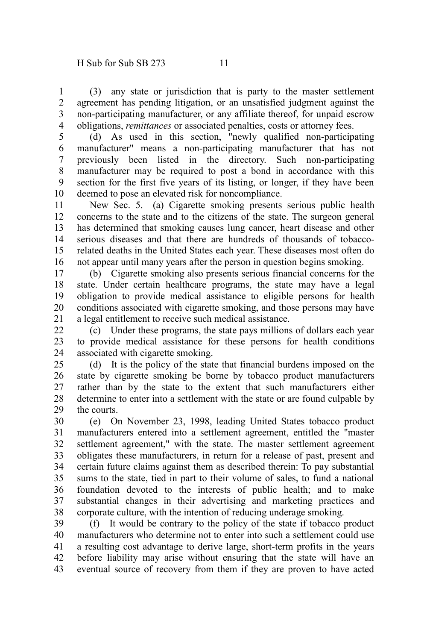(3) any state or jurisdiction that is party to the master settlement agreement has pending litigation, or an unsatisfied judgment against the non-participating manufacturer, or any affiliate thereof, for unpaid escrow obligations, *remittances* or associated penalties, costs or attorney fees. 1 2 3 4

(d) As used in this section, "newly qualified non-participating manufacturer" means a non-participating manufacturer that has not previously been listed in the directory. Such non-participating manufacturer may be required to post a bond in accordance with this section for the first five years of its listing, or longer, if they have been deemed to pose an elevated risk for noncompliance. 5 6 7 8 9 10

New Sec. 5. (a) Cigarette smoking presents serious public health concerns to the state and to the citizens of the state. The surgeon general has determined that smoking causes lung cancer, heart disease and other serious diseases and that there are hundreds of thousands of tobaccorelated deaths in the United States each year. These diseases most often do not appear until many years after the person in question begins smoking. 11 12 13 14 15 16

(b) Cigarette smoking also presents serious financial concerns for the state. Under certain healthcare programs, the state may have a legal obligation to provide medical assistance to eligible persons for health conditions associated with cigarette smoking, and those persons may have a legal entitlement to receive such medical assistance. 17 18 19 20 21

(c) Under these programs, the state pays millions of dollars each year to provide medical assistance for these persons for health conditions associated with cigarette smoking.  $22$ 23 24

(d) It is the policy of the state that financial burdens imposed on the state by cigarette smoking be borne by tobacco product manufacturers rather than by the state to the extent that such manufacturers either determine to enter into a settlement with the state or are found culpable by the courts. 25 26 27 28 29

(e) On November 23, 1998, leading United States tobacco product manufacturers entered into a settlement agreement, entitled the "master settlement agreement," with the state. The master settlement agreement obligates these manufacturers, in return for a release of past, present and certain future claims against them as described therein: To pay substantial sums to the state, tied in part to their volume of sales, to fund a national foundation devoted to the interests of public health; and to make substantial changes in their advertising and marketing practices and corporate culture, with the intention of reducing underage smoking. 30 31 32 33 34 35 36 37 38

(f) It would be contrary to the policy of the state if tobacco product manufacturers who determine not to enter into such a settlement could use a resulting cost advantage to derive large, short-term profits in the years before liability may arise without ensuring that the state will have an eventual source of recovery from them if they are proven to have acted 39 40 41 42 43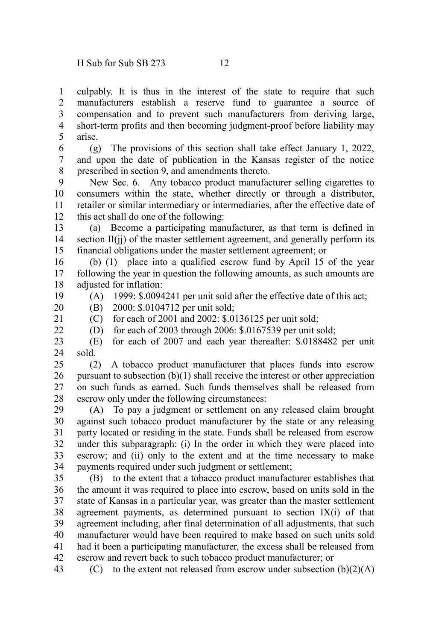culpably. It is thus in the interest of the state to require that such manufacturers establish a reserve fund to guarantee a source of compensation and to prevent such manufacturers from deriving large, short-term profits and then becoming judgment-proof before liability may arise. 1 2 3 4 5

(g) The provisions of this section shall take effect January 1, 2022, and upon the date of publication in the Kansas register of the notice prescribed in section 9, and amendments thereto. 6 7 8

New Sec. 6. Any tobacco product manufacturer selling cigarettes to consumers within the state, whether directly or through a distributor, retailer or similar intermediary or intermediaries, after the effective date of this act shall do one of the following: 9 10 11 12

(a) Become a participating manufacturer, as that term is defined in section II(ji) of the master settlement agreement, and generally perform its financial obligations under the master settlement agreement; or 13 14 15

(b) (1) place into a qualified escrow fund by April 15 of the year following the year in question the following amounts, as such amounts are adjusted for inflation: 16 17 18

19

(A) 1999: \$.0094241 per unit sold after the effective date of this act;

(B) 2000: \$.0104712 per unit sold; 20

21  $22$  (C) for each of 2001 and 2002: \$.0136125 per unit sold;

(D) for each of 2003 through 2006: \$.0167539 per unit sold;

(E) for each of 2007 and each year thereafter: \$.0188482 per unit sold. 23 24

(2) A tobacco product manufacturer that places funds into escrow pursuant to subsection (b)(1) shall receive the interest or other appreciation on such funds as earned. Such funds themselves shall be released from escrow only under the following circumstances: 25 26 27 28

(A) To pay a judgment or settlement on any released claim brought against such tobacco product manufacturer by the state or any releasing party located or residing in the state. Funds shall be released from escrow under this subparagraph: (i) In the order in which they were placed into escrow; and (ii) only to the extent and at the time necessary to make payments required under such judgment or settlement; 29 30 31 32 33 34

(B) to the extent that a tobacco product manufacturer establishes that the amount it was required to place into escrow, based on units sold in the state of Kansas in a particular year, was greater than the master settlement agreement payments, as determined pursuant to section  $IX(i)$  of that agreement including, after final determination of all adjustments, that such manufacturer would have been required to make based on such units sold had it been a participating manufacturer, the excess shall be released from escrow and revert back to such tobacco product manufacturer; or 35 36 37 38 39 40 41 42

(C) to the extent not released from escrow under subsection  $(b)(2)(A)$ 43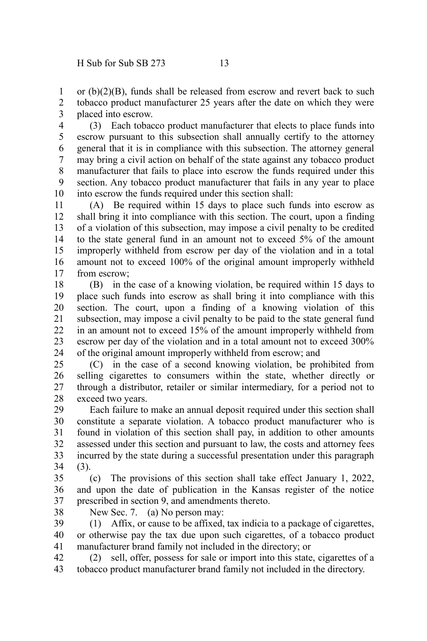or (b)(2)(B), funds shall be released from escrow and revert back to such tobacco product manufacturer 25 years after the date on which they were placed into escrow. 1 2 3

(3) Each tobacco product manufacturer that elects to place funds into escrow pursuant to this subsection shall annually certify to the attorney general that it is in compliance with this subsection. The attorney general may bring a civil action on behalf of the state against any tobacco product manufacturer that fails to place into escrow the funds required under this section. Any tobacco product manufacturer that fails in any year to place into escrow the funds required under this section shall: 4 5 6 7 8 9 10

(A) Be required within 15 days to place such funds into escrow as shall bring it into compliance with this section. The court, upon a finding of a violation of this subsection, may impose a civil penalty to be credited to the state general fund in an amount not to exceed 5% of the amount improperly withheld from escrow per day of the violation and in a total amount not to exceed 100% of the original amount improperly withheld from escrow; 11 12 13 14 15 16 17

(B) in the case of a knowing violation, be required within 15 days to place such funds into escrow as shall bring it into compliance with this section. The court, upon a finding of a knowing violation of this subsection, may impose a civil penalty to be paid to the state general fund in an amount not to exceed 15% of the amount improperly withheld from escrow per day of the violation and in a total amount not to exceed 300% of the original amount improperly withheld from escrow; and 18 19 20 21 22 23 24

(C) in the case of a second knowing violation, be prohibited from selling cigarettes to consumers within the state, whether directly or through a distributor, retailer or similar intermediary, for a period not to exceed two years. 25 26 27 28

Each failure to make an annual deposit required under this section shall constitute a separate violation. A tobacco product manufacturer who is found in violation of this section shall pay, in addition to other amounts assessed under this section and pursuant to law, the costs and attorney fees incurred by the state during a successful presentation under this paragraph (3). 29 30 31 32 33 34

(c) The provisions of this section shall take effect January 1, 2022, and upon the date of publication in the Kansas register of the notice prescribed in section 9, and amendments thereto. 35 36 37

- 38
- New Sec. 7. (a) No person may:

(1) Affix, or cause to be affixed, tax indicia to a package of cigarettes, or otherwise pay the tax due upon such cigarettes, of a tobacco product manufacturer brand family not included in the directory; or 39 40 41

(2) sell, offer, possess for sale or import into this state, cigarettes of a tobacco product manufacturer brand family not included in the directory. 42 43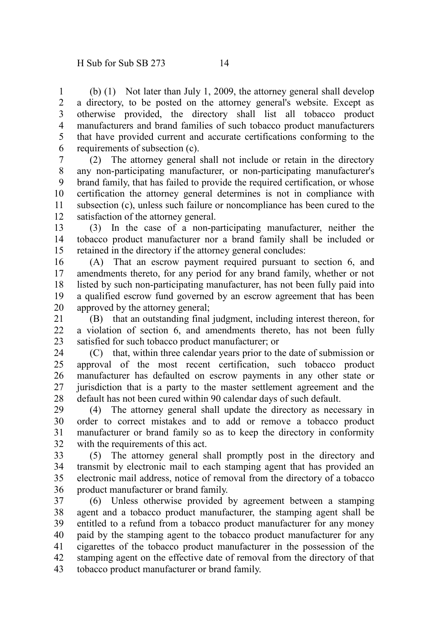(b) (1) Not later than July 1, 2009, the attorney general shall develop a directory, to be posted on the attorney general's website. Except as otherwise provided, the directory shall list all tobacco product manufacturers and brand families of such tobacco product manufacturers that have provided current and accurate certifications conforming to the requirements of subsection (c). 1 2 3 4 5 6

(2) The attorney general shall not include or retain in the directory any non-participating manufacturer, or non-participating manufacturer's brand family, that has failed to provide the required certification, or whose certification the attorney general determines is not in compliance with subsection (c), unless such failure or noncompliance has been cured to the satisfaction of the attorney general. 7 8 9 10 11 12

(3) In the case of a non-participating manufacturer, neither the tobacco product manufacturer nor a brand family shall be included or retained in the directory if the attorney general concludes: 13 14 15

(A) That an escrow payment required pursuant to section 6, and amendments thereto, for any period for any brand family, whether or not listed by such non-participating manufacturer, has not been fully paid into a qualified escrow fund governed by an escrow agreement that has been approved by the attorney general; 16 17 18 19 20

(B) that an outstanding final judgment, including interest thereon, for a violation of section 6, and amendments thereto, has not been fully satisfied for such tobacco product manufacturer; or 21 22 23

(C) that, within three calendar years prior to the date of submission or approval of the most recent certification, such tobacco product manufacturer has defaulted on escrow payments in any other state or jurisdiction that is a party to the master settlement agreement and the default has not been cured within 90 calendar days of such default. 24 25 26 27 28

(4) The attorney general shall update the directory as necessary in order to correct mistakes and to add or remove a tobacco product manufacturer or brand family so as to keep the directory in conformity with the requirements of this act. 29 30 31 32

(5) The attorney general shall promptly post in the directory and transmit by electronic mail to each stamping agent that has provided an electronic mail address, notice of removal from the directory of a tobacco product manufacturer or brand family. 33 34 35 36

(6) Unless otherwise provided by agreement between a stamping agent and a tobacco product manufacturer, the stamping agent shall be entitled to a refund from a tobacco product manufacturer for any money paid by the stamping agent to the tobacco product manufacturer for any cigarettes of the tobacco product manufacturer in the possession of the stamping agent on the effective date of removal from the directory of that tobacco product manufacturer or brand family. 37 38 39 40 41 42 43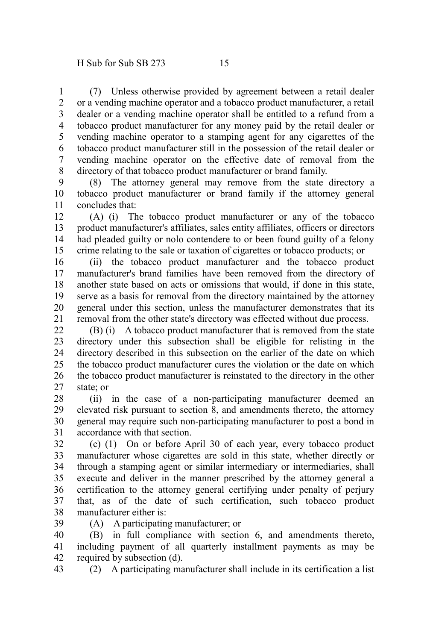(7) Unless otherwise provided by agreement between a retail dealer or a vending machine operator and a tobacco product manufacturer, a retail dealer or a vending machine operator shall be entitled to a refund from a tobacco product manufacturer for any money paid by the retail dealer or vending machine operator to a stamping agent for any cigarettes of the tobacco product manufacturer still in the possession of the retail dealer or vending machine operator on the effective date of removal from the directory of that tobacco product manufacturer or brand family. 1 2 3 4 5 6 7 8

(8) The attorney general may remove from the state directory a tobacco product manufacturer or brand family if the attorney general concludes that: 9 10 11

(A) (i) The tobacco product manufacturer or any of the tobacco product manufacturer's affiliates, sales entity affiliates, officers or directors had pleaded guilty or nolo contendere to or been found guilty of a felony crime relating to the sale or taxation of cigarettes or tobacco products; or 12 13 14 15

(ii) the tobacco product manufacturer and the tobacco product manufacturer's brand families have been removed from the directory of another state based on acts or omissions that would, if done in this state, serve as a basis for removal from the directory maintained by the attorney general under this section, unless the manufacturer demonstrates that its removal from the other state's directory was effected without due process. 16 17 18 19 20 21

(B) (i) A tobacco product manufacturer that is removed from the state directory under this subsection shall be eligible for relisting in the directory described in this subsection on the earlier of the date on which the tobacco product manufacturer cures the violation or the date on which the tobacco product manufacturer is reinstated to the directory in the other state; or  $22$ 23 24 25 26 27

(ii) in the case of a non-participating manufacturer deemed an elevated risk pursuant to section 8, and amendments thereto, the attorney general may require such non-participating manufacturer to post a bond in accordance with that section. 28 29 30 31

(c) (1) On or before April 30 of each year, every tobacco product manufacturer whose cigarettes are sold in this state, whether directly or through a stamping agent or similar intermediary or intermediaries, shall execute and deliver in the manner prescribed by the attorney general a certification to the attorney general certifying under penalty of perjury that, as of the date of such certification, such tobacco product manufacturer either is: 32 33 34 35 36 37 38

(A) A participating manufacturer; or 39

(B) in full compliance with section 6, and amendments thereto, including payment of all quarterly installment payments as may be required by subsection (d). 40 41 42

(2) A participating manufacturer shall include in its certification a list 43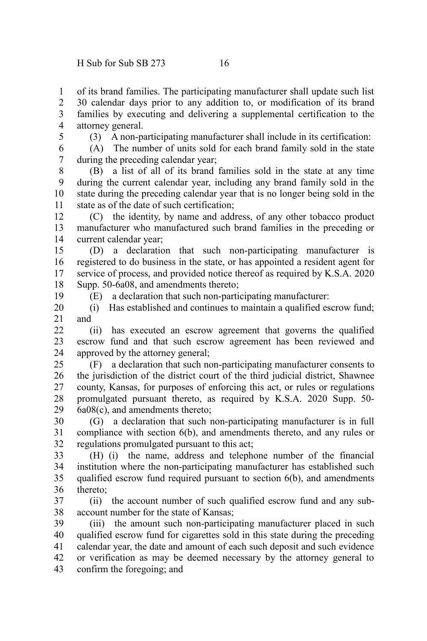of its brand families. The participating manufacturer shall update such list 30 calendar days prior to any addition to, or modification of its brand families by executing and delivering a supplemental certification to the attorney general. 1 2 3 4

5

(3) A non-participating manufacturer shall include in its certification:

(A) The number of units sold for each brand family sold in the state during the preceding calendar year; 6 7

(B) a list of all of its brand families sold in the state at any time during the current calendar year, including any brand family sold in the state during the preceding calendar year that is no longer being sold in the state as of the date of such certification; 8 9 10 11

(C) the identity, by name and address, of any other tobacco product manufacturer who manufactured such brand families in the preceding or current calendar year; 12 13 14

(D) a declaration that such non-participating manufacturer is registered to do business in the state, or has appointed a resident agent for service of process, and provided notice thereof as required by K.S.A. 2020 Supp. 50-6a08, and amendments thereto; 15 16 17 18

19

(E) a declaration that such non-participating manufacturer:

(i) Has established and continues to maintain a qualified escrow fund; and 20 21

(ii) has executed an escrow agreement that governs the qualified escrow fund and that such escrow agreement has been reviewed and approved by the attorney general;  $22$ 23 24

(F) a declaration that such non-participating manufacturer consents to the jurisdiction of the district court of the third judicial district, Shawnee county, Kansas, for purposes of enforcing this act, or rules or regulations promulgated pursuant thereto, as required by K.S.A. 2020 Supp. 50- 6a08(c), and amendments thereto; 25 26 27 28 29

(G) a declaration that such non-participating manufacturer is in full compliance with section 6(b), and amendments thereto, and any rules or regulations promulgated pursuant to this act; 30 31 32

(H) (i) the name, address and telephone number of the financial institution where the non-participating manufacturer has established such qualified escrow fund required pursuant to section 6(b), and amendments thereto; 33 34 35 36

(ii) the account number of such qualified escrow fund and any subaccount number for the state of Kansas; 37 38

(iii) the amount such non-participating manufacturer placed in such qualified escrow fund for cigarettes sold in this state during the preceding calendar year, the date and amount of each such deposit and such evidence or verification as may be deemed necessary by the attorney general to confirm the foregoing; and 39 40 41 42 43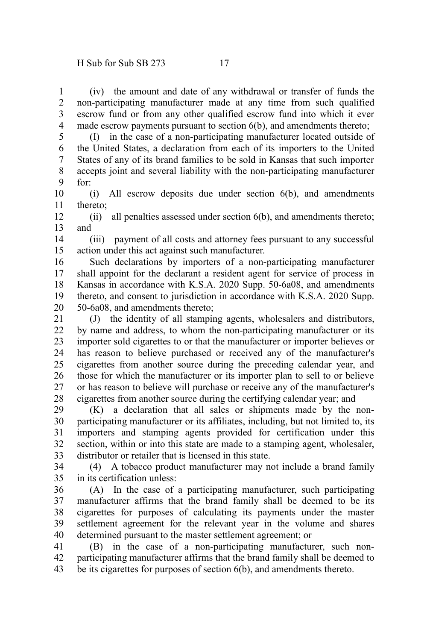(iv) the amount and date of any withdrawal or transfer of funds the non-participating manufacturer made at any time from such qualified escrow fund or from any other qualified escrow fund into which it ever made escrow payments pursuant to section 6(b), and amendments thereto; 1 2 3 4

(I) in the case of a non-participating manufacturer located outside of the United States, a declaration from each of its importers to the United States of any of its brand families to be sold in Kansas that such importer accepts joint and several liability with the non-participating manufacturer for: 5 6 7 8 9

(i) All escrow deposits due under section 6(b), and amendments thereto; 10 11

(ii) all penalties assessed under section 6(b), and amendments thereto; and 12 13

(iii) payment of all costs and attorney fees pursuant to any successful action under this act against such manufacturer. 14 15

Such declarations by importers of a non-participating manufacturer shall appoint for the declarant a resident agent for service of process in Kansas in accordance with K.S.A. 2020 Supp. 50-6a08, and amendments thereto, and consent to jurisdiction in accordance with K.S.A. 2020 Supp. 50-6a08, and amendments thereto; 16 17 18 19 20

(J) the identity of all stamping agents, wholesalers and distributors, by name and address, to whom the non-participating manufacturer or its importer sold cigarettes to or that the manufacturer or importer believes or has reason to believe purchased or received any of the manufacturer's cigarettes from another source during the preceding calendar year, and those for which the manufacturer or its importer plan to sell to or believe or has reason to believe will purchase or receive any of the manufacturer's cigarettes from another source during the certifying calendar year; and 21 22 23 24 25 26 27 28

(K) a declaration that all sales or shipments made by the nonparticipating manufacturer or its affiliates, including, but not limited to, its importers and stamping agents provided for certification under this section, within or into this state are made to a stamping agent, wholesaler, distributor or retailer that is licensed in this state. 29 30 31 32 33

(4) A tobacco product manufacturer may not include a brand family in its certification unless: 34 35

(A) In the case of a participating manufacturer, such participating manufacturer affirms that the brand family shall be deemed to be its cigarettes for purposes of calculating its payments under the master settlement agreement for the relevant year in the volume and shares determined pursuant to the master settlement agreement; or 36 37 38 39 40

(B) in the case of a non-participating manufacturer, such nonparticipating manufacturer affirms that the brand family shall be deemed to be its cigarettes for purposes of section 6(b), and amendments thereto. 41 42 43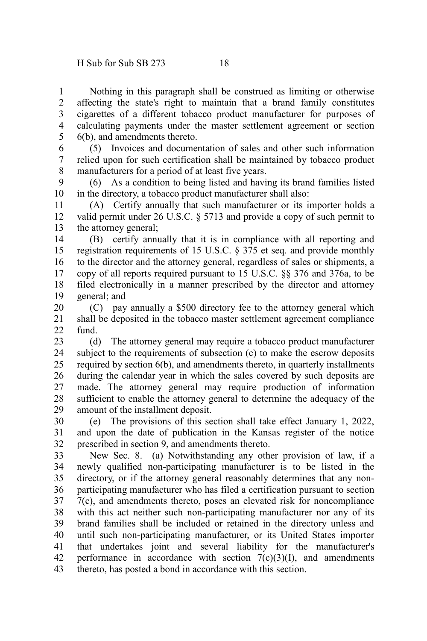Nothing in this paragraph shall be construed as limiting or otherwise affecting the state's right to maintain that a brand family constitutes cigarettes of a different tobacco product manufacturer for purposes of calculating payments under the master settlement agreement or section 6(b), and amendments thereto. 1 2 3 4 5

(5) Invoices and documentation of sales and other such information relied upon for such certification shall be maintained by tobacco product manufacturers for a period of at least five years. 6 7 8

(6) As a condition to being listed and having its brand families listed in the directory, a tobacco product manufacturer shall also: 9 10

(A) Certify annually that such manufacturer or its importer holds a valid permit under 26 U.S.C. § 5713 and provide a copy of such permit to the attorney general; 11 12 13

(B) certify annually that it is in compliance with all reporting and registration requirements of 15 U.S.C. § 375 et seq. and provide monthly to the director and the attorney general, regardless of sales or shipments, a copy of all reports required pursuant to 15 U.S.C. §§ 376 and 376a, to be filed electronically in a manner prescribed by the director and attorney general; and 14 15 16 17 18 19

(C) pay annually a \$500 directory fee to the attorney general which shall be deposited in the tobacco master settlement agreement compliance fund. 20 21  $22$ 

(d) The attorney general may require a tobacco product manufacturer subject to the requirements of subsection (c) to make the escrow deposits required by section 6(b), and amendments thereto, in quarterly installments during the calendar year in which the sales covered by such deposits are made. The attorney general may require production of information sufficient to enable the attorney general to determine the adequacy of the amount of the installment deposit. 23 24 25 26 27 28 29

(e) The provisions of this section shall take effect January 1, 2022, and upon the date of publication in the Kansas register of the notice prescribed in section 9, and amendments thereto. 30 31 32

New Sec. 8. (a) Notwithstanding any other provision of law, if a newly qualified non-participating manufacturer is to be listed in the directory, or if the attorney general reasonably determines that any nonparticipating manufacturer who has filed a certification pursuant to section 7(c), and amendments thereto, poses an elevated risk for noncompliance with this act neither such non-participating manufacturer nor any of its brand families shall be included or retained in the directory unless and until such non-participating manufacturer, or its United States importer that undertakes joint and several liability for the manufacturer's performance in accordance with section  $7(c)(3)(I)$ , and amendments thereto, has posted a bond in accordance with this section. 33 34 35 36 37 38 39 40 41 42 43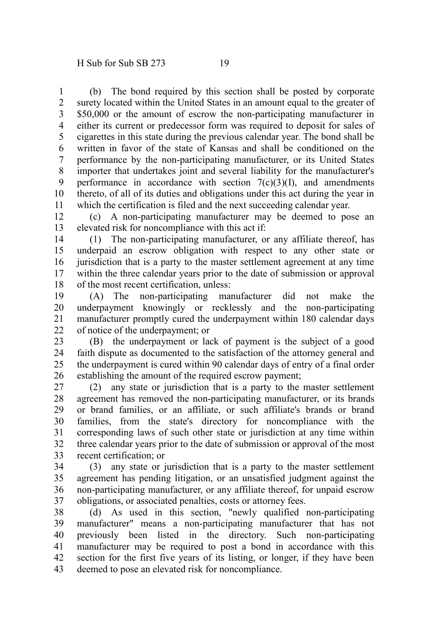(b) The bond required by this section shall be posted by corporate surety located within the United States in an amount equal to the greater of \$50,000 or the amount of escrow the non-participating manufacturer in either its current or predecessor form was required to deposit for sales of cigarettes in this state during the previous calendar year. The bond shall be written in favor of the state of Kansas and shall be conditioned on the performance by the non-participating manufacturer, or its United States importer that undertakes joint and several liability for the manufacturer's performance in accordance with section  $7(c)(3)(I)$ , and amendments thereto, of all of its duties and obligations under this act during the year in which the certification is filed and the next succeeding calendar year. 1 2 3 4 5 6 7 8 9 10 11

(c) A non-participating manufacturer may be deemed to pose an elevated risk for noncompliance with this act if: 12 13

(1) The non-participating manufacturer, or any affiliate thereof, has underpaid an escrow obligation with respect to any other state or jurisdiction that is a party to the master settlement agreement at any time within the three calendar years prior to the date of submission or approval of the most recent certification, unless: 14 15 16 17 18

(A) The non-participating manufacturer did not make the underpayment knowingly or recklessly and the non-participating manufacturer promptly cured the underpayment within 180 calendar days of notice of the underpayment; or 19 20 21 22

(B) the underpayment or lack of payment is the subject of a good faith dispute as documented to the satisfaction of the attorney general and the underpayment is cured within 90 calendar days of entry of a final order establishing the amount of the required escrow payment; 23 24 25 26

(2) any state or jurisdiction that is a party to the master settlement agreement has removed the non-participating manufacturer, or its brands or brand families, or an affiliate, or such affiliate's brands or brand families, from the state's directory for noncompliance with the corresponding laws of such other state or jurisdiction at any time within three calendar years prior to the date of submission or approval of the most recent certification; or 27 28 29 30 31 32 33

(3) any state or jurisdiction that is a party to the master settlement agreement has pending litigation, or an unsatisfied judgment against the non-participating manufacturer, or any affiliate thereof, for unpaid escrow obligations, or associated penalties, costs or attorney fees. 34 35 36 37

(d) As used in this section, "newly qualified non-participating manufacturer" means a non-participating manufacturer that has not previously been listed in the directory. Such non-participating manufacturer may be required to post a bond in accordance with this section for the first five years of its listing, or longer, if they have been deemed to pose an elevated risk for noncompliance. 38 39 40 41 42 43